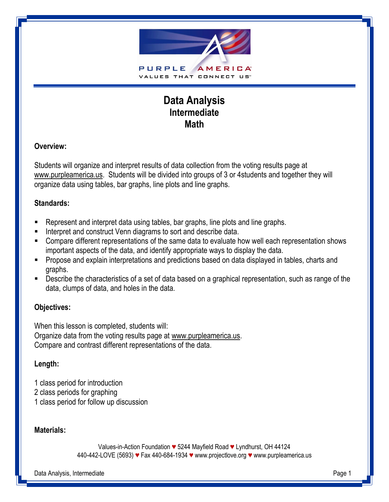

# **Data Analysis Intermediate Math**

## **Overview:**

Students will organize and interpret results of data collection from the voting results page at www.purpleamerica.us. Students will be divided into groups of 3 or 4students and together they will organize data using tables, bar graphs, line plots and line graphs.

#### **Standards:**

- Represent and interpret data using tables, bar graphs, line plots and line graphs.
- Interpret and construct Venn diagrams to sort and describe data.
- Compare different representations of the same data to evaluate how well each representation shows important aspects of the data, and identify appropriate ways to display the data.
- **Propose and explain interpretations and predictions based on data displayed in tables, charts and** graphs.
- Describe the characteristics of a set of data based on a graphical representation, such as range of the data, clumps of data, and holes in the data.

## **Objectives:**

When this lesson is completed, students will: Organize data from the voting results page at www.purpleamerica.us. Compare and contrast different representations of the data.

## **Length:**

- 1 class period for introduction
- 2 class periods for graphing
- 1 class period for follow up discussion

## **Materials:**

Values-in-Action Foundation *♥* 5244 Mayfield Road *♥* Lyndhurst, OH 44124 440-442-LOVE (5693) *♥* Fax 440-684-1934 *♥* [www.projectlove.org](http://www.projectlove.org/) *♥* www.purpleamerica.us

Data Analysis, Intermediate Page 1